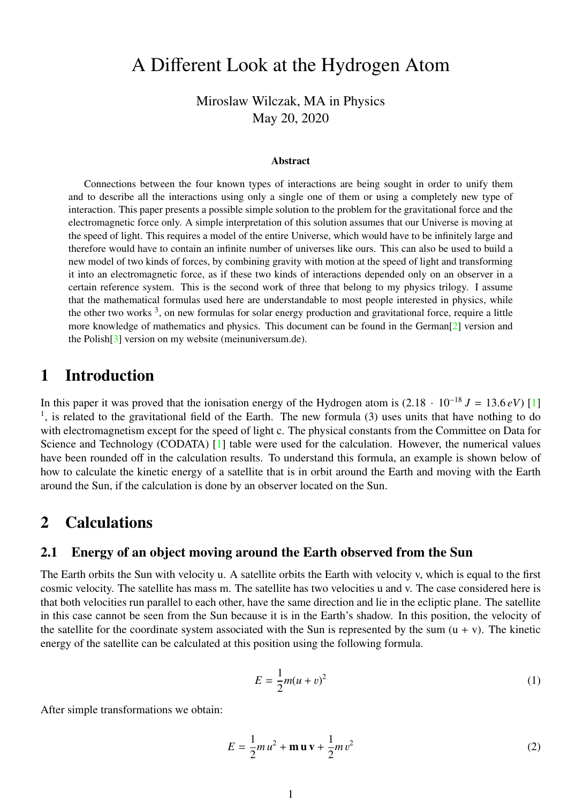# A Different Look at the Hydrogen Atom

Miroslaw Wilczak, MA in Physics May 20, 2020

#### Abstract

Connections between the four known types of interactions are being sought in order to unify them and to describe all the interactions using only a single one of them or using a completely new type of interaction. This paper presents a possible simple solution to the problem for the gravitational force and the electromagnetic force only. A simple interpretation of this solution assumes that our Universe is moving at the speed of light. This requires a model of the entire Universe, which would have to be infinitely large and therefore would have to contain an infinite number of universes like ours. This can also be used to build a new model of two kinds of forces, by combining gravity with motion at the speed of light and transforming it into an electromagnetic force, as if these two kinds of interactions depended only on an observer in a certain reference system. This is the second work of three that belong to my physics trilogy. I assume that the mathematical formulas used here are understandable to most people interested in physics, while the other two works<sup>3</sup>, on new formulas for solar energy production and gravitational force, require a little more knowledge of mathematics and physics. This document can be found in the German[\[2\]](#page-2-0) version and the Polish[\[3\]](#page-2-1) version on my website (meinuniversum.de).

### 1 Introduction

In this paper it was proved that the ionisation energy of the Hydrogen atom is  $(2.18 \cdot 10^{-18} J = 13.6 \, eV)$  [\[1\]](#page-2-2) <sup>1</sup>, is related to the gravitational field of the Earth. The new formula (3) uses units that have nothing to do with electromagnetism except for the speed of light c. The physical constants from the Committee on Data for Science and Technology (CODATA) [\[1\]](#page-2-2) table were used for the calculation. However, the numerical values have been rounded off in the calculation results. To understand this formula, an example is shown below of how to calculate the kinetic energy of a satellite that is in orbit around the Earth and moving with the Earth around the Sun, if the calculation is done by an observer located on the Sun.

### 2 Calculations

### 2.1 Energy of an object moving around the Earth observed from the Sun

The Earth orbits the Sun with velocity u. A satellite orbits the Earth with velocity v, which is equal to the first cosmic velocity. The satellite has mass m. The satellite has two velocities u and v. The case considered here is that both velocities run parallel to each other, have the same direction and lie in the ecliptic plane. The satellite in this case cannot be seen from the Sun because it is in the Earth's shadow. In this position, the velocity of the satellite for the coordinate system associated with the Sun is represented by the sum  $(u + v)$ . The kinetic energy of the satellite can be calculated at this position using the following formula.

$$
E = \frac{1}{2}m(u+v)^2
$$
 (1)

After simple transformations we obtain:

$$
E = \frac{1}{2}m u^2 + \mathbf{m} \mathbf{u} \mathbf{v} + \frac{1}{2}m v^2
$$
 (2)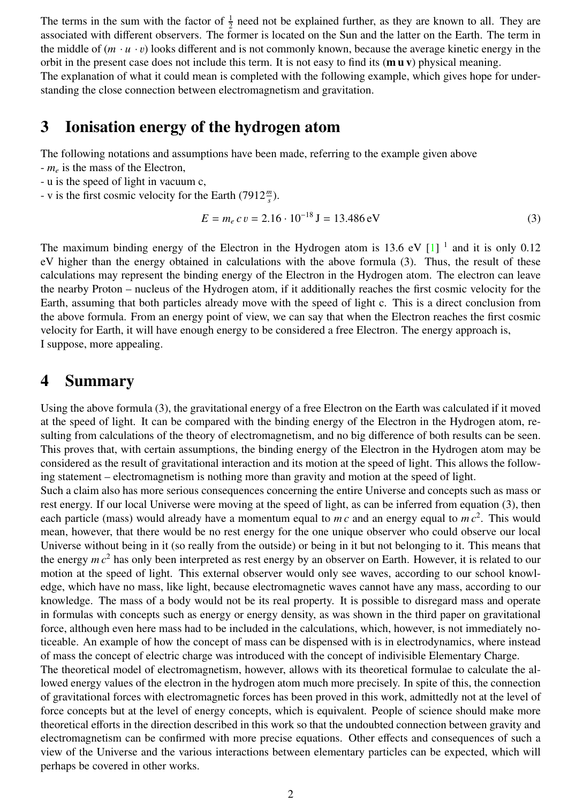The terms in the sum with the factor of  $\frac{1}{2}$  need not be explained further, as they are known to all. They are associated with different observers. The former is located on the Sun and the latter on the Earth. The term in the middle of  $(m \cdot u \cdot v)$  looks different and is not commonly known, because the average kinetic energy in the orbit in the present case does not include this term. It is not easy to find its  $(\mathbf{m} \mathbf{u} \mathbf{v})$  physical meaning. The explanation of what it could mean is completed with the following example, which gives hope for understanding the close connection between electromagnetism and gravitation.

### 3 Ionisation energy of the hydrogen atom

The following notations and assumptions have been made, referring to the example given above

- *m<sup>e</sup>* is the mass of the Electron,
- u is the speed of light in vacuum c,
- v is the first cosmic velocity for the Earth  $(7912 \frac{m}{s})$ .

$$
E = m_e c v = 2.16 \cdot 10^{-18} \text{ J} = 13.486 \text{ eV}
$$
 (3)

The maximum binding energy of the Electron in the Hydrogen atom is 13.6 eV  $[1]$ <sup>1</sup> and it is only 0.12 eV higher than the energy obtained in calculations with the above formula (3). Thus, the result of these calculations may represent the binding energy of the Electron in the Hydrogen atom. The electron can leave the nearby Proton – nucleus of the Hydrogen atom, if it additionally reaches the first cosmic velocity for the Earth, assuming that both particles already move with the speed of light c. This is a direct conclusion from the above formula. From an energy point of view, we can say that when the Electron reaches the first cosmic velocity for Earth, it will have enough energy to be considered a free Electron. The energy approach is, I suppose, more appealing.

### 4 Summary

Using the above formula (3), the gravitational energy of a free Electron on the Earth was calculated if it moved at the speed of light. It can be compared with the binding energy of the Electron in the Hydrogen atom, resulting from calculations of the theory of electromagnetism, and no big difference of both results can be seen. This proves that, with certain assumptions, the binding energy of the Electron in the Hydrogen atom may be considered as the result of gravitational interaction and its motion at the speed of light. This allows the following statement – electromagnetism is nothing more than gravity and motion at the speed of light.

Such a claim also has more serious consequences concerning the entire Universe and concepts such as mass or rest energy. If our local Universe were moving at the speed of light, as can be inferred from equation (3), then each particle (mass) would already have a momentum equal to m c and an energy equal to m  $c^2$ . This would mean, however, that there would be no rest energy for the one unique observer who could observe our local Universe without being in it (so really from the outside) or being in it but not belonging to it. This means that the energy *m c*<sup>2</sup> has only been interpreted as rest energy by an observer on Earth. However, it is related to our motion at the speed of light. This external observer would only see waves, according to our school knowledge, which have no mass, like light, because electromagnetic waves cannot have any mass, according to our knowledge. The mass of a body would not be its real property. It is possible to disregard mass and operate in formulas with concepts such as energy or energy density, as was shown in the third paper on gravitational force, although even here mass had to be included in the calculations, which, however, is not immediately noticeable. An example of how the concept of mass can be dispensed with is in electrodynamics, where instead of mass the concept of electric charge was introduced with the concept of indivisible Elementary Charge.

The theoretical model of electromagnetism, however, allows with its theoretical formulae to calculate the allowed energy values of the electron in the hydrogen atom much more precisely. In spite of this, the connection of gravitational forces with electromagnetic forces has been proved in this work, admittedly not at the level of force concepts but at the level of energy concepts, which is equivalent. People of science should make more theoretical efforts in the direction described in this work so that the undoubted connection between gravity and electromagnetism can be confirmed with more precise equations. Other effects and consequences of such a view of the Universe and the various interactions between elementary particles can be expected, which will perhaps be covered in other works.